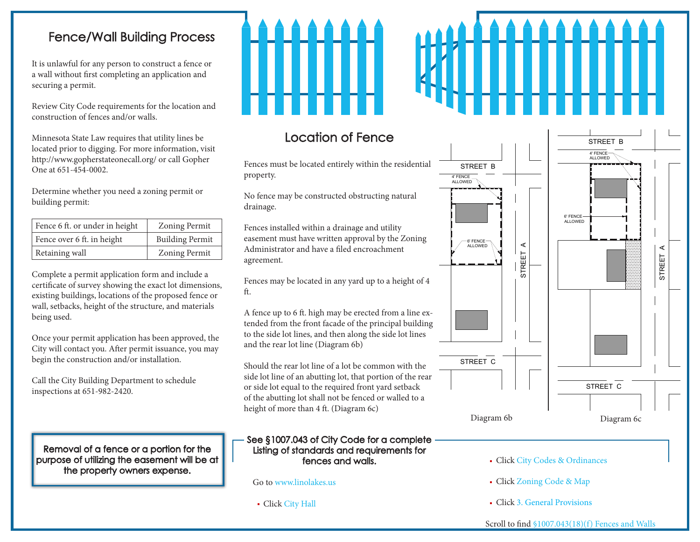#### Fence/Wall Building Process

It is unlawful for any person to construct a fence or a wall without first completing an application and securing a permit.

Review City Code requirements for the location and construction of fences and/or walls.

Minnesota State Law requires that utility lines be located prior to digging. For more information, visit http://www.gopherstateonecall.org/ or call Gopher One at 651-454-0002.

Determine whether you need a zoning permit or building permit:

| Fence 6 ft. or under in height | <b>Zoning Permit</b>   |
|--------------------------------|------------------------|
| Fence over 6 ft. in height     | <b>Building Permit</b> |
| Retaining wall                 | <b>Zoning Permit</b>   |

Complete a permit application form and include a certificate of survey showing the exact lot dimensions, existing buildings, locations of the proposed fence or wall, setbacks, height of the structure, and materials being used.

Once your permit application has been approved, the City will contact you. After permit issuance, you may begin the construction and/or installation.

Call the City Building Department to schedule inspections at 651-982-2420.

Removal of a fence or a portion for the purpose of utilizing the easement will be at the property owners expense.

property.

drainage.

agreement.

ft.

Location of Fence

No fence may be constructed obstructing natural

Fences installed within a drainage and utility

Administrator and have a filed encroachment

# **MAAA**

#### STREET B 4' FENCE ALLOWED Fences must be located entirely within the residential STREET B 4' FENCE ALLOWED 6' FENCE **ALLOWED** easement must have written approval by the Zoning 6' FENCE ALLOWED LINO LAKES, MINNESOTA STREET A  $\prec$ STREET A STREET Fences may be located in any yard up to a height of 4 A fence up to 6 ft. high may be erected from a line extended from the front facade of the principal building to the side lot lines, and then along the side lot lines STREET C Should the rear lot line of a lot be common with the side lot line of an abutting lot, that portion of the rear STREET C Diagram 6b Diagram 6c

#### See §1007.043 of City Code for a complete Listing of standards and requirements for fences and walls.

or side lot equal to the required front yard setback of the abutting lot shall not be fenced or walled to a

Go to www.linolakes.us

and the rear lot line (Diagram 6b)

height of more than 4 ft. (Diagram 6c)

Click City Hall

- Click City Codes & Ordinances
- Click Zoning Code & Map
- Click 3. General Provisions

Scroll to find §1007.043(18)(f) Fences and Walls